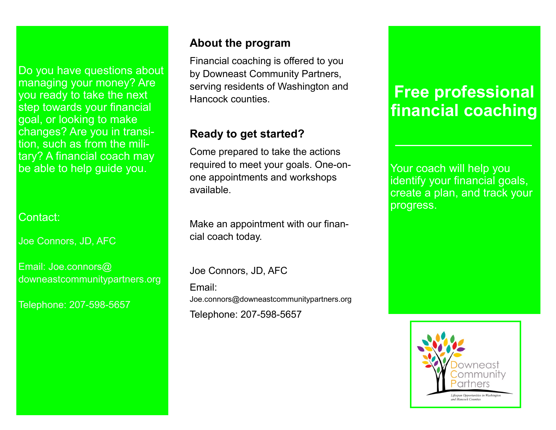Do you have questions about managing your money? Are you ready to take the next step towards your financial goal, or looking to make changes? Are you in transition, such as from the military? A financial coach may be able to help guide you.

Contact:

Joe Connors, JD, AFC

Email: Joe.connors@ downeastcommunitypartners.org

Telephone: 207-598-5657

## **About the program**

Financial coaching is offered to you by Downeast Community Partners, serving residents of Washington and Hancock counties.

# **Ready to get started?**

Come prepared to take the actions required to meet your goals. One-onone appointments and workshops available.

Make an appointment with our financial coach today.

Joe Connors, JD, AFC Email: Joe.connors@downeastcommunitypartners.org Telephone: 207-598-5657

# **Free professional financial coaching**

Your coach will help you identify your financial goals, create a plan, and track your progress.